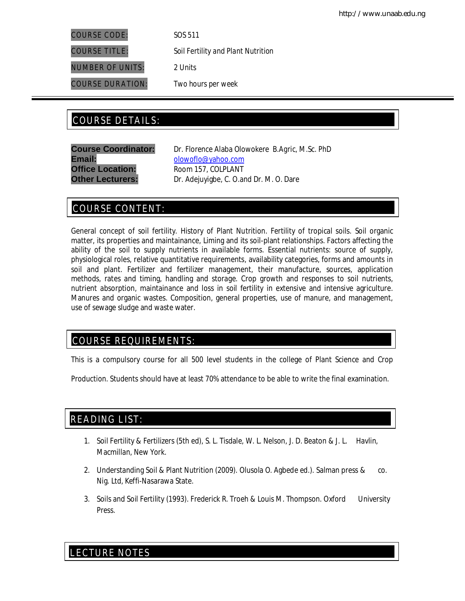COURSE CODE: *SOS 511*

NUMBER OF UNITS: 2 *Units*

COURSE DURATION: *Two hours per week*

COURSE TITLE: *Soil Fertility and Plant Nutrition*

# COURSE DETAILS: COURSE DETAILS:

**Email:** olowoflo@yahoo.com **Office Location:** Room 157, COLPLANT

**Course Coordinator:** Dr. Florence Alaba Olowokere *B.Agric, M.Sc. PhD* **Other Lecturers:** Dr. Adejuyigbe, C. O.and Dr. M. O. Dare

# COURSE CONTENT:

General concept of soil fertility. History of Plant Nutrition. Fertility of tropical soils. Soil organic matter, its properties and maintainance, Liming and its soil-plant relationships. Factors affecting the ability of the soil to supply nutrients in available forms. Essential nutrients: source of supply, physiological roles, relative quantitative requirements, availability categories, forms and amounts in soil and plant. Fertilizer and fertilizer management, their manufacture, sources, application methods, rates and timing, handling and storage. Crop growth and responses to soil nutrients, nutrient absorption, maintainance and loss in soil fertility in extensive and intensive agriculture. Manures and organic wastes. Composition, general properties, use of manure, and management, use of sewage sludge and waste water.

# COURSE REQUIREMENTS:

This is a compulsory course for all 500 level students in the college of Plant Science and Crop

Production. Students should have at least 70% attendance to be able to write the final examination.

# READING LIST:

- 1. Soil Fertility & Fertilizers (5th ed), S. L. Tisdale, W. L. Nelson, J. D. Beaton & J. L. Havlin, Macmillan, New York.
- 2. Understanding Soil & Plant Nutrition (2009). Olusola O. Agbede ed.). Salman press & co. Nig. Ltd, Keffi-Nasarawa State.
- 3. Soils and Soil Fertility (1993). Frederick R. Troeh & Louis M. Thompson. Oxford University Press.

# LECTURE NOTES

E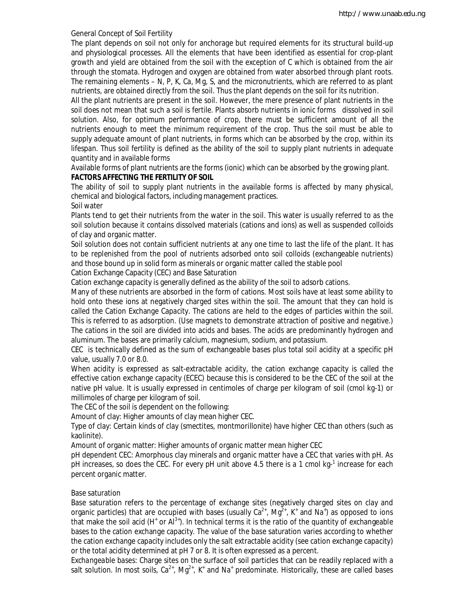## General Concept of Soil Fertility

The plant depends on soil not only for anchorage but required elements for its structural build-up and physiological processes. All the elements that have been identified as essential for crop-plant growth and yield are obtained from the soil with the exception of C which is obtained from the air through the stomata. Hydrogen and oxygen are obtained from water absorbed through plant roots. The remaining elements – N, P, K, Ca, Mg, S, and the micronutrients, which are referred to as plant nutrients, are obtained directly from the soil. Thus the plant depends on the soil for its nutrition.

All the plant nutrients are present in the soil. However, the mere presence of plant nutrients in the soil does not mean that such a soil is fertile. Plants absorb nutrients in ionic forms dissolved in soil solution. Also, for optimum performance of crop, there must be sufficient amount of all the nutrients enough to meet the minimum requirement of the crop. Thus the soil must be able to supply adequate amount of plant nutrients, in forms which can be absorbed by the crop, within its lifespan. Thus soil fertility is defined as the ability of the soil to supply plant nutrients in adequate quantity and in available forms

Available forms of plant nutrients are the forms (ionic) which can be absorbed by the growing plant. **FACTORS AFFECTING THE FERTILITY OF SOIL** 

The ability of soil to supply plant nutrients in the available forms is affected by many physical, chemical and biological factors, including management practices.

Soil water

Plants tend to get their nutrients from the water in the soil. This water is usually referred to as the soil solution because it contains dissolved materials (cations and ions) as well as suspended colloids of clay and organic matter.

Soil solution does not contain sufficient nutrients at any one time to last the life of the plant. It has to be replenished from the pool of nutrients adsorbed onto soil colloids (exchangeable nutrients) and those bound up in solid form as minerals or organic matter called the stable pool

Cation Exchange Capacity (CEC) and Base Saturation

Cation exchange capacity is generally defined as the ability of the soil to adsorb cations.

Many of these nutrients are absorbed in the form of cations. Most soils have at least some ability to hold onto these ions at negatively charged sites within the soil. The amount that they can hold is called the Cation Exchange Capacity. The cations are held to the edges of particles within the soil. This is referred to as adsorption. (Use magnets to demonstrate attraction of positive and negative.) The cations in the soil are divided into acids and bases. The acids are predominantly hydrogen and aluminum. The bases are primarily calcium, magnesium, sodium, and potassium.

CEC is technically defined as the sum of exchangeable bases plus total soil acidity at a specific pH value, usually 7.0 or 8.0.

When acidity is expressed as salt-extractable acidity, the cation exchange capacity is called the effective cation exchange capacity (ECEC) because this is considered to be the CEC of the soil at the native pH value. It is usually expressed in centimoles of charge per kilogram of soil (cmol kg-1) or millimoles of charge per kilogram of soil.

The CEC of the soil is dependent on the following:

Amount of clay: Higher amounts of clay mean higher CEC.

Type of clay: Certain kinds of clay (smectites, montmorillonite) have higher CEC than others (such as kaolinite).

Amount of organic matter: Higher amounts of organic matter mean higher CEC

pH dependent CEC: Amorphous clay minerals and organic matter have a CEC that varies with pH. As pH increases, so does the CEC. For every pH unit above 4.5 there is a 1 cmol kg-<sup>1</sup> increase for each percent organic matter.

# Base saturation

Base saturation refers to the percentage of exchange sites (negatively charged sites on clay and organic particles) that are occupied with bases (usually  $Ca^{2+}$ , Mg<sup>2+</sup>, K<sup>+</sup> and Na<sup>+</sup>) as opposed to ions that make the soil acid (H<sup>+</sup> or Al<sup>3+</sup>). In technical terms it is the ratio of the quantity of exchangeable bases to the cation exchange capacity. The value of the base saturation varies according to whether the cation exchange capacity includes only the salt extractable acidity (see cation exchange capacity) or the total acidity determined at pH 7 or 8. It is often expressed as a percent.

*Exchangeable bases:* Charge sites on the surface of soil particles that can be readily replaced with a salt solution. In most soils,  $Ca^{2+}$ , Mg<sup>2+</sup>, K<sup>+</sup> and Na<sup>+</sup> predominate. Historically, these are called bases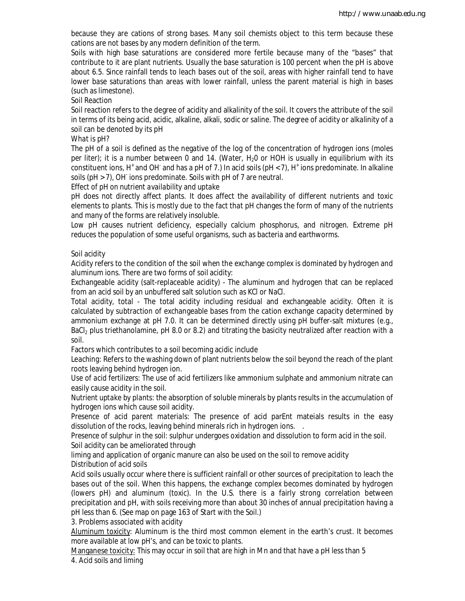because they are cations of strong bases. Many soil chemists object to this term because these cations are not bases by any modern definition of the term.

Soils with high base saturations are considered more fertile because many of the "bases" that contribute to it are plant nutrients. Usually the base saturation is 100 percent when the pH is above about 6.5. Since rainfall tends to leach bases out of the soil, areas with higher rainfall tend to have lower base saturations than areas with lower rainfall, unless the parent material is high in bases (such as limestone).

Soil Reaction

Soil reaction refers to the degree of acidity and alkalinity of the soil. It covers the attribute of the soil in terms of its being acid, acidic, alkaline, alkali, sodic or saline. The degree of acidity or alkalinity of a soil can be denoted by its pH

*What is pH?*

The pH of a soil is defined as the negative of the log of the concentration of hydrogen ions (moles per liter); it is a number between 0 and 14. (Water, H<sub>2</sub>O or HOH is usually in equilibrium with its constituent ions, H<sup>+</sup> and OH<sup>-</sup> and has a pH of 7.) In acid soils (pH < 7), H<sup>+</sup> ions predominate. In alkaline soils (pH > 7), OH ions predominate. Soils with pH of 7 are neutral.

*Effect of pH on nutrient availability and uptake* 

pH does not directly affect plants. It does affect the availability of different nutrients and toxic elements to plants. This is mostly due to the fact that pH changes the form of many of the nutrients and many of the forms are relatively insoluble.

Low pH causes nutrient deficiency, especially calcium phosphorus, and nitrogen. Extreme pH reduces the population of some useful organisms, such as bacteria and earthworms.

#### Soil acidity

Acidity refers to the condition of the soil when the exchange complex is dominated by hydrogen and aluminum ions. There are two forms of soil acidity:

Exchangeable acidity (salt-replaceable acidity) - The aluminum and hydrogen that can be replaced from an acid soil by an unbuffered salt solution such as KCl or NaCl.

Total acidity, total - The total acidity including residual and exchangeable acidity. Often it is calculated by subtraction of exchangeable bases from the cation exchange capacity determined by ammonium exchange at pH 7.0. It can be determined directly using pH buffer-salt mixtures (e.g., BaCl<sub>2</sub> plus triethanolamine, pH 8.0 or 8.2) and titrating the basicity neutralized after reaction with a soil.

Factors which contributes to a soil becoming acidic include

Le*aching*: Refers to the washing down of plant nutrients below the soil beyond the reach of the plant roots leaving behind hydrogen ion.

*Use of acid fertilizers*: The use of acid fertilizers like ammonium sulphate and ammonium nitrate can easily cause acidity in the soil.

*Nutrient uptake by plants*: the absorption of soluble minerals by plants results in the accumulation of hydrogen ions which cause soil acidity.

*Presence of acid parent materials:* The presence of acid parEnt mateials results in the easy dissolution of the rocks, leaving behind minerals rich in hydrogen ions. .

*Presence of sulphur in the soil*: sulphur undergoes oxidation and dissolution to form acid in the soil. Soil acidity can be ameliorated through

liming and application of organic manure can also be used on the soil to remove acidity *Distribution of acid soils*

Acid soils usually occur where there is sufficient rainfall or other sources of precipitation to leach the bases out of the soil. When this happens, the exchange complex becomes dominated by hydrogen (lowers pH) and aluminum (toxic). In the U.S. there is a fairly strong correlation between precipitation and pH, with soils receiving more than about 30 inches of annual precipitation having a pH less than 6. (See map on page 163 of *Start with the Soil*.)

*3. Problems associated with acidity*

Aluminum toxicity: Aluminum is the third most common element in the earth's crust. It becomes more available at low pH's, and can be toxic to plants.

Manganese toxicity: This may occur in soil that are high in Mn and that have a pH less than 5 *4. Acid soils and liming*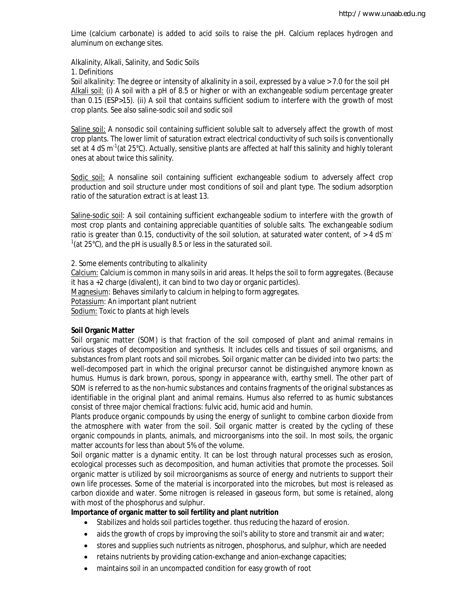Lime (calcium carbonate) is added to acid soils to raise the pH. Calcium replaces hydrogen and aluminum on exchange sites.

Alkalinity, Alkali, Salinity, and Sodic Soils

*1. Definitions*

*Soil alkalinity:* The degree or intensity of alkalinity in a soil, expressed by a value > 7.0 for the soil pH Alkali soil: (i) A soil with a pH of 8.5 or higher or with an exchangeable sodium percentage greater than 0.15 (ESP>15). (ii) A soil that contains sufficient sodium to interfere with the growth of most crop plants. See also saline-sodic soil and sodic soil

Saline soil: A nonsodic soil containing sufficient soluble salt to adversely affect the growth of most crop plants. The lower limit of saturation extract electrical conductivity of such soils is conventionally set at 4 dS m<sup>-1</sup>(at 25°C). Actually, sensitive plants are affected at half this salinity and highly tolerant ones at about twice this salinity.

Sodic soil: A nonsaline soil containing sufficient exchangeable sodium to adversely affect crop production and soil structure under most conditions of soil and plant type. The sodium adsorption ratio of the saturation extract is at least 13.

Saline-sodic soil*:* A soil containing sufficient exchangeable sodium to interfere with the growth of most crop plants and containing appreciable quantities of soluble salts. The exchangeable sodium ratio is greater than 0.15, conductivity of the soil solution, at saturated water content, of  $>$  4 dS m<sup>-</sup>  $1$ (at 25°C), and the pH is usually 8.5 or less in the saturated soil.

#### *2. Some elements contributing to alkalinity*

Calcium: Calcium is common in many soils in arid areas. It helps the soil to form aggregates. (Because it has a +2 charge (divalent), it can bind to two clay or organic particles). Magnesium: Behaves similarly to calcium in helping to form aggregates. Potassium: An important plant nutrient Sodium: Toxic to plants at high levels

### **Soil Organic Matter**

Soil organic matter (SOM) is that fraction of the soil composed of plant and animal remains in various stages of decomposition and synthesis. It includes cells and tissues of soil organisms, and substances from plant roots and soil microbes. Soil organic matter can be divided into two parts: the well-decomposed part in which the original precursor cannot be distinguished anymore known as humus. Humus is dark brown, porous, spongy in appearance with, earthy smell. The other part of SOM is referred to as the non-humic substances and contains fragments of the original substances as identifiable in the original plant and animal remains. Humus also referred to as humic substances consist of three major chemical fractions: fulvic acid, humic acid and humin.

Plants produce organic compounds by using the energy of sunlight to combine carbon dioxide from the atmosphere with water from the soil. Soil organic matter is created by the cycling of these organic compounds in plants, animals, and microorganisms into the soil. In most soils, the organic matter accounts for less than about 5% of the volume.

Soil organic matter is a dynamic entity. It can be lost through natural processes such as erosion, ecological processes such as decomposition, and human activities that promote the processes. Soil organic matter is utilized by soil microorganisms as source of energy and nutrients to support their own life processes. Some of the material is incorporated into the microbes, but most is released as carbon dioxide and water. Some nitrogen is released in gaseous form, but some is retained, along with most of the phosphorus and sulphur.

### **Importance of organic matter to soil fertility and plant nutrition**

- Stabilizes and holds soil particles together. thus reducing the hazard of erosion.
- aids the growth of crops by improving the soil's ability to store and transmit air and water;
- stores and supplies such nutrients as nitrogen, phosphorus, and sulphur, which are needed
- retains nutrients by providing cation-exchange and anion-exchange capacities;
- maintains soil in an uncompacted condition for easy growth of root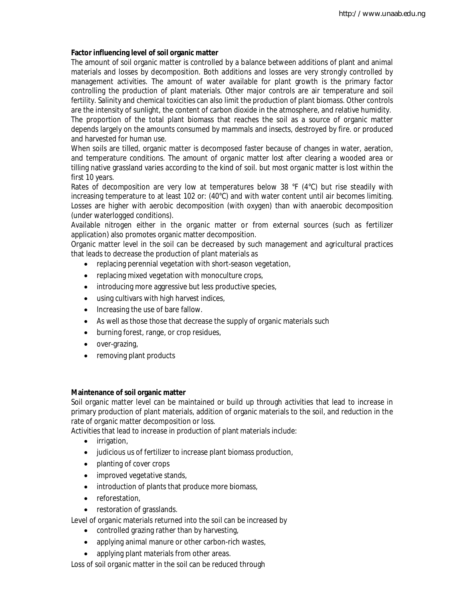# **Factor influencing level of soil organic matter**

The amount of soil organic matter is controlled by a balance between additions of plant and animal materials and losses by decomposition. Both additions and losses are very strongly controlled by management activities. The amount of water available for plant growth is the primary factor controlling the production of plant materials. Other major controls are air temperature and soil fertility. Salinity and chemical toxicities can also limit the production of plant biomass. Other controls are the intensity of sunlight, the content of carbon dioxide in the atmosphere, and relative humidity. The proportion of the total plant biomass that reaches the soil as a source of organic matter depends largely on the amounts consumed by mammals and insects, destroyed by fire. or produced and harvested for human use.

When soils are tilled, organic matter is decomposed faster because of changes in water, aeration, and temperature conditions. The amount of organic matter lost after clearing a wooded area or tilling native grassland varies according to the kind of soil. but most organic matter is lost within the first 10 years.

Rates of decomposition are very low at temperatures below 38 °F (4°C) but rise steadily with increasing temperature to at least 102 or: (40°C) and with water content until air becomes limiting. Losses are higher with aerobic decomposition (with oxygen) than with anaerobic decomposition (under waterlogged conditions).

Available nitrogen either in the organic matter or from external sources (such as fertilizer application) also promotes organic matter decomposition.

Organic matter level in the soil can be decreased by such management and agricultural practices that leads to decrease the production of plant materials as

- replacing perennial vegetation with short-season vegetation,
- replacing mixed vegetation with monoculture crops,
- introducing more aggressive but less productive species,
- using cultivars with high harvest indices,
- Increasing the use of bare fallow.
- As well as those those that decrease the supply of organic materials such
- burning forest, range, or crop residues,
- over-grazing,
- removing plant products

### **Maintenance of soil organic matter**

Soil organic matter level can be maintained or build up through activities that lead to increase in primary production of plant materials, addition of organic materials to the soil, and reduction in the rate of organic matter decomposition or loss.

Activities that lead to increase in production of plant materials include:

- *irrigation*,
- judicious us of fertilizer to increase plant biomass production,
- planting of cover crops
- improved vegetative stands,
- introduction of plants that produce more biomass,
- reforestation,
- restoration of grasslands.

Level of organic materials returned into the soil can be increased by

- controlled grazing rather than by harvesting,
- applying animal manure or other carbon-rich wastes,
- applying plant materials from other areas.

Loss of soil organic matter in the soil can be reduced through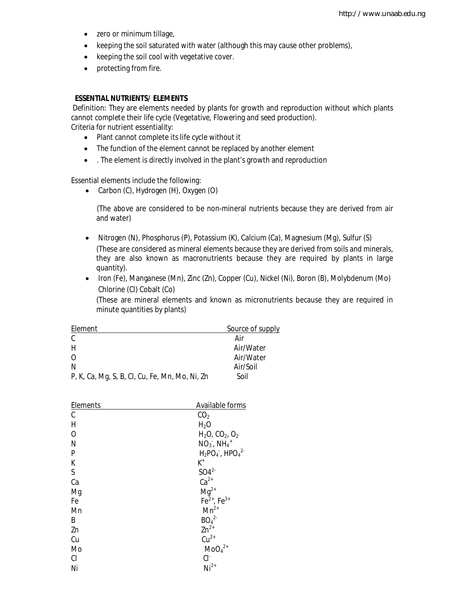- zero or minimum tillage,
- keeping the soil saturated with water (although this may cause other problems),
- keeping the soil cool with vegetative cover.
- protecting from fire.

#### **ESSENTIAL NUTRIENTS/ ELEMENTS**

Definition: They are elements needed by plants for growth and reproduction without which plants cannot complete their life cycle (Vegetative, Flowering and seed production). Criteria for nutrient essentiality:

- Plant cannot complete its life cycle without it
- The function of the element cannot be replaced by another element
- . The element is directly involved in the plant's growth and reproduction

Essential elements include the following:

• Carbon (C), Hydrogen (H), Oxygen (O)

(The above are considered to be non-mineral nutrients because they are derived from air and water)

- Nitrogen (N), Phosphorus (P), Potassium (K), Calcium (Ca), Magnesium (Mg), Sulfur (S) (These are considered as mineral elements because they are derived from soils and minerals, they are also known as macronutrients because they are required by plants in large quantity).
- Iron (Fe), Manganese (Mn), Zinc (Zn), Copper (Cu), Nickel (Ni), Boron (B), Molybdenum (Mo) Chlorine (Cl) Cobalt (Co)

(These are mineral elements and known as micronutrients because they are required in minute quantities by plants)

| Element                                        | Source of supply |
|------------------------------------------------|------------------|
| C                                              | Air              |
| Н                                              | Air/Water        |
| $\Omega$                                       | Air/Water        |
| N                                              | Air/Soil         |
| P, K, Ca, Mg, S, B, Cl, Cu, Fe, Mn, Mo, Ni, Zn | Soil             |

| Elements  | Available forms              |
|-----------|------------------------------|
| C         | CO <sub>2</sub>              |
| H         | $H_2O$                       |
| 0         | $H_2O$ , $CO_2$ , $O_2$      |
| N         | $NO3$ , $NH4$ <sup>+</sup>   |
| P         | $H_2PO_4$ , $HPO_4^2$        |
| K         | K+                           |
| S         | SO4 <sup>2</sup>             |
| Ca        | $Ca2+$                       |
| Mg        | $Mg^{2+}$                    |
| Fe        | $Fe^{2+}$ , $Fe^{3+}$        |
| Mn        | $Mn^{2+}$                    |
| B         | BO <sub>4</sub> <sup>2</sup> |
| Zn        | $Zn^{2+}$                    |
| Cu        | $Cu2+$                       |
| Mo        | $MOq^{2+}$                   |
| <b>CI</b> | CI <sup>-</sup>              |
| Ni        | $Ni2+$                       |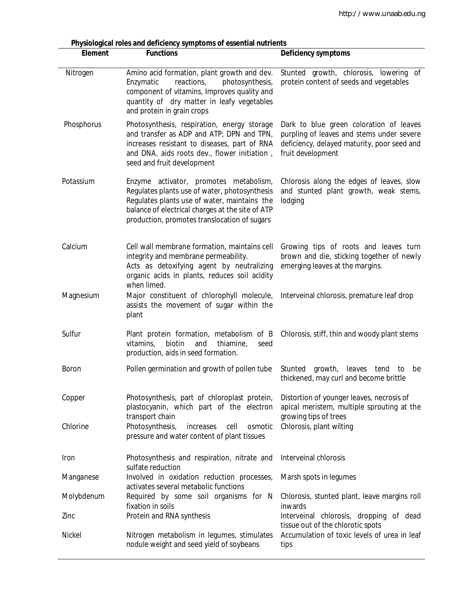| Physiological roles and deficiency symptoms of essential nutrients<br><b>Functions</b><br><b>Element</b> |                                                                                                                                                                                                                                             |                                                                                                                                                          |  |
|----------------------------------------------------------------------------------------------------------|---------------------------------------------------------------------------------------------------------------------------------------------------------------------------------------------------------------------------------------------|----------------------------------------------------------------------------------------------------------------------------------------------------------|--|
|                                                                                                          |                                                                                                                                                                                                                                             | <b>Deficiency symptoms</b>                                                                                                                               |  |
| Nitrogen                                                                                                 | Amino acid formation, plant growth and dev.<br>Enzymatic<br>reactions,<br>photosynthesis,<br>component of vitamins, Improves quality and<br>quantity of dry matter in leafy vegetables<br>and protein in grain crops                        | Stunted growth, chlorosis, lowering of<br>protein content of seeds and vegetables                                                                        |  |
| Phosphorus                                                                                               | Photosynthesis, respiration, energy storage<br>and transfer as ADP and ATP; DPN and TPN,<br>increases resistant to diseases, part of RNA<br>and DNA, aids roots dev., flower initiation,<br>seed and fruit development                      | Dark to blue green coloration of leaves<br>purpling of leaves and stems under severe<br>deficiency, delayed maturity, poor seed and<br>fruit development |  |
| Potassium                                                                                                | Enzyme activator, promotes metabolism,<br>Regulates plants use of water, photosynthesis<br>Regulates plants use of water, maintains the<br>balance of electrical charges at the site of ATP<br>production, promotes translocation of sugars | Chlorosis along the edges of leaves, slow<br>and stunted plant growth, weak stems,<br>lodging                                                            |  |
| Calcium                                                                                                  | Cell wall membrane formation, maintains cell<br>integrity and membrane permeability.<br>Acts as detoxifying agent by neutralizing<br>organic acids in plants, reduces soil acidity<br>when limed.                                           | Growing tips of roots and leaves turn<br>brown and die, sticking together of newly<br>emerging leaves at the margins.                                    |  |
| Magnesium                                                                                                | Major constituent of chlorophyll molecule,<br>assists the movement of sugar within the<br>plant                                                                                                                                             | Interveinal chlorosis, premature leaf drop                                                                                                               |  |
| Sulfur                                                                                                   | Plant protein formation, metabolism of B<br>biotin<br>thiamine,<br>vitamins,<br>and<br>seed<br>production, aids in seed formation.                                                                                                          | Chlorosis, stiff, thin and woody plant stems                                                                                                             |  |
| <b>Boron</b>                                                                                             | Pollen germination and growth of pollen tube                                                                                                                                                                                                | growth,<br>Stunted<br>leaves<br>tend<br>to<br>be<br>thickened, may curl and become brittle                                                               |  |
| Copper                                                                                                   | Photosynthesis, part of chloroplast protein,<br>plastocyanin, which part of the electron<br>transport chain                                                                                                                                 | Distortion of younger leaves, necrosis of<br>apical meristem, multiple sprouting at the<br>growing tips of trees                                         |  |
| Chlorine                                                                                                 | Photosynthesis,<br>osmotic<br>increases<br>cell<br>pressure and water content of plant tissues                                                                                                                                              | Chlorosis, plant wilting                                                                                                                                 |  |
| Iron                                                                                                     | Photosynthesis and respiration, nitrate and<br>sulfate reduction                                                                                                                                                                            | Interveinal chlorosis                                                                                                                                    |  |
| Manganese                                                                                                | Involved in oxidation reduction processes,<br>activates several metabolic functions                                                                                                                                                         | Marsh spots in legumes                                                                                                                                   |  |
| Molybdenum                                                                                               | Required by some soil organisms for N<br>fixation in soils                                                                                                                                                                                  | Chlorosis, stunted plant, leave margins roll<br>inwards                                                                                                  |  |
| Zinc                                                                                                     | Protein and RNA synthesis                                                                                                                                                                                                                   | Interveinal chlorosis, dropping of dead<br>tissue out of the chlorotic spots                                                                             |  |
| Nickel                                                                                                   | Nitrogen metabolism in legumes, stimulates<br>nodule weight and seed yield of soybeans                                                                                                                                                      | Accumulation of toxic levels of urea in leaf<br>tips                                                                                                     |  |

**Physiological roles and deficiency symptoms of essential nutrients**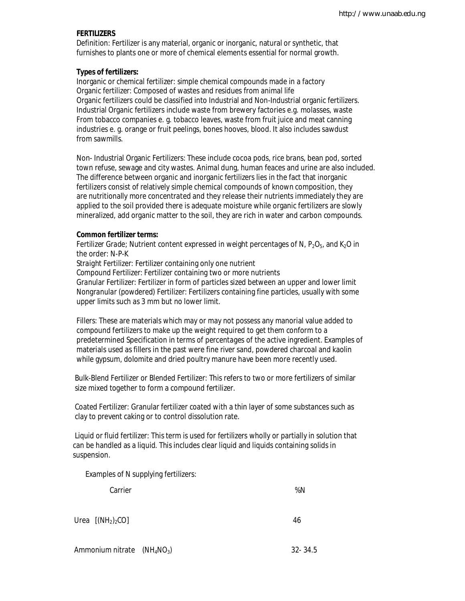## **FERTILIZERS**

 Definition: Fertilizer is any material, organic or inorganic, natural or synthetic, that furnishes to plants one or more of chemical elements essential for normal growth.

#### **Types of fertilizers:**

 Inorganic or chemical fertilizer: simple chemical compounds made in a factory Organic fertilizer: Composed of wastes and residues from animal life Organic fertilizers could be classified into Industrial and Non-Industrial organic fertilizers. Industrial Organic fertilizers include waste from brewery factories e.g. molasses, waste From tobacco companies e. g. tobacco leaves, waste from fruit juice and meat canning industries e. g. orange or fruit peelings, bones hooves, blood. It also includes sawdust from sawmills.

 Non- Industrial Organic Fertilizers: These include cocoa pods, rice brans, bean pod, sorted town refuse, sewage and city wastes. Animal dung, human feaces and urine are also included. The difference between organic and inorganic fertilizers lies in the fact that inorganic fertilizers consist of relatively simple chemical compounds of known composition, they are nutritionally more concentrated and they release their nutrients immediately they are applied to the soil provided there is adequate moisture while organic fertilizers are slowly mineralized, add organic matter to the soil, they are rich in water and carbon compounds.

#### **Common fertilizer terms:**

*Fertilizer Grade*; Nutrient content expressed in weight percentages of N, P<sub>2</sub>O<sub>5</sub>, and K<sub>2</sub>O in the order: N-P-K

 *Straight Fertilizer:* Fertilizer containing only one nutrient

*Compound Fertilizer*: Fertilizer containing two or more nutrients

 *Granular Fertilizer*: Fertilizer in form of particles sized between an upper and lower limit *Nongranular (powdered) Fertilizer*: Fertilizers containing fine particles, usually with some upper limits such as 3 mm but no lower limit.

 *Fillers:* These are materials which may or may not possess any manorial value added to compound fertilizers to make up the weight required to get them conform to a predetermined Specification in terms of percentages of the active ingredient. Examples of materials used as fillers in the past were fine river sand, powdered charcoal and kaolin while gypsum, dolomite and dried poultry manure have been more recently used.

 Bulk-Blend Fertilizer or Blended Fertilizer: This refers to two or more fertilizers of similar size mixed together to form a compound fertilizer.

 Coated Fertilizer: Granular fertilizer coated with a thin layer of some substances such as clay to prevent caking or to control dissolution rate.

 Liquid or fluid fertilizer: This term is used for fertilizers wholly or partially in solution that can be handled as a liquid. This includes clear liquid and liquids containing solids in suspension.

Examples of N supplying fertilizers:

Carrier  $\%N$ 

Urea  $[(NH<sub>2</sub>)<sub>2</sub>CO]$  46

Ammonium nitrate  $(NH_4NO_3)$  32- 34.5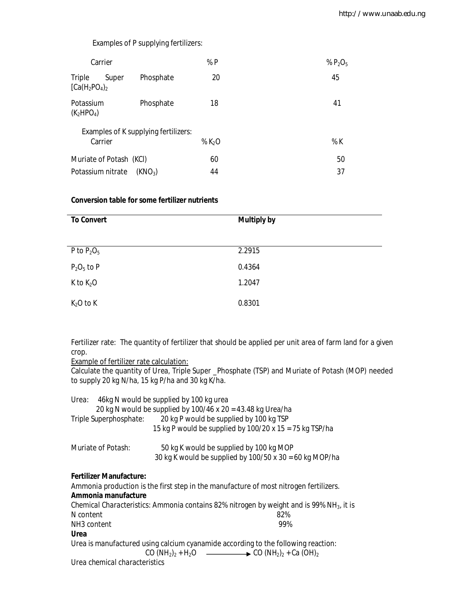# Examples of P supplying fertilizers:

| Carrier                     |       |                                      | %P      | % $P_2O_5$ |    |
|-----------------------------|-------|--------------------------------------|---------|------------|----|
| Triple<br>$[Ca(H_2PO_4)_2]$ | Super | Phosphate                            | 20      | 45         |    |
| Potassium<br>$(K_2HPO_4)$   |       | Phosphate                            | 18      | 41         |    |
|                             |       | Examples of K supplying fertilizers: |         |            |    |
| Carrier                     |       |                                      | % $K2O$ | % K        |    |
| Muriate of Potash (KCI)     |       |                                      | 60      |            | 50 |
| Potassium nitrate           |       | (KNO <sub>3</sub> )                  | 44      |            | 37 |

# **Conversion table for some fertilizer nutrients**

| <b>To Convert</b> | <b>Multiply by</b> |
|-------------------|--------------------|
|                   |                    |
| P to $P_2O_5$     | 2.2915             |
| $P_2O_5$ to P     | 0.4364             |
| K to $K_2O$       | 1.2047             |
| $K2O$ to K        | 0.8301             |

Fertilizer rate: The quantity of fertilizer that should be applied per unit area of farm land for a given crop.

Example of fertilizer rate calculation:

Calculate the quantity of Urea, Triple Super \_Phosphate (TSP) and Muriate of Potash (MOP) needed to supply 20 kg N/ha, 15 kg P/ha and 30 kg K/ha.

| Urea: 46kg N would be supplied by 100 kg urea | 20 kg N would be supplied by $100/46$ x 20 = 43.48 kg Urea/ha                                                                     |
|-----------------------------------------------|-----------------------------------------------------------------------------------------------------------------------------------|
| Triple Superphosphate:                        | 20 kg P would be supplied by 100 kg TSP                                                                                           |
|                                               | 15 kg P would be supplied by 100/20 x 15 = 75 kg TSP/ha                                                                           |
| Muriate of Potash:                            | 50 kg K would be supplied by 100 kg MOP                                                                                           |
|                                               | 30 kg K would be supplied by $100/50$ x 30 = 60 kg MOP/ha                                                                         |
| Fertilizer Manufacture:                       |                                                                                                                                   |
|                                               | Ammonia production is the first step in the manufacture of most nitrogen fertilizers.                                             |
| Ammonia manufacture                           |                                                                                                                                   |
|                                               | <i>Chemical Characteristics:</i> Ammonia contains 82% nitrogen by weight and is 99% $NH_3$ , it is                                |
| N content                                     | 82%                                                                                                                               |
| NH3 content                                   | 99%                                                                                                                               |
| Urea                                          |                                                                                                                                   |
|                                               | Urea is manufactured using calcium cyanamide according to the following reaction:                                                 |
|                                               | CO (NH <sub>2</sub> ) <sub>2</sub> + H <sub>2</sub> O $\longrightarrow$ CO (NH <sub>2</sub> ) <sub>2</sub> + Ca (OH) <sub>2</sub> |
| Urea chemical characteristics                 |                                                                                                                                   |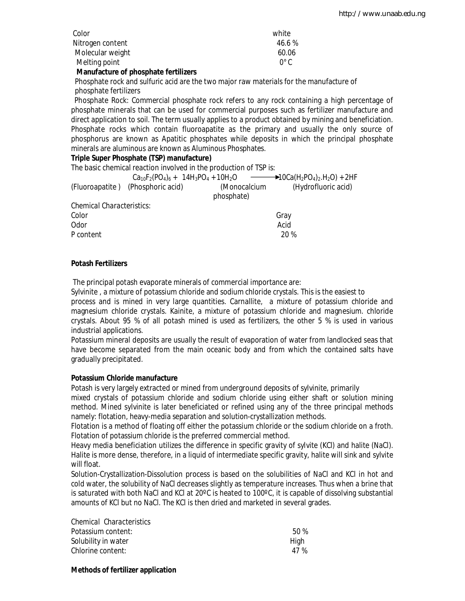| Color            | white               |
|------------------|---------------------|
| Nitrogen content | 46.6 %              |
| Molecular weight | 60.06               |
| Melting point    | $\Omega^{\circ}$ C. |

## **Manufacture of phosphate fertilizers**

 Phosphate rock and sulfuric acid are the two major raw materials for the manufacture of phosphate fertilizers

 Phosphate Rock: Commercial phosphate rock refers to any rock containing a high percentage of phosphate minerals that can be used for commercial purposes such as fertilizer manufacture and direct application to soil. The term usually applies to a product obtained by mining and beneficiation. Phosphate rocks which contain fluoroapatite as the primary and usually the only source of phosphorus are known as Apatitic phosphates while deposits in which the principal phosphate minerals are aluminous are known as Aluminous Phosphates.

## **Triple Super Phosphate (TSP) manufacture)**

The basic chemical reaction involved in the production of TSP is:  $Ca_{10}F_2(PO_4)_6 + 14H_3PO_4 + 10H_2O \longrightarrow 10Ca(H_2PO_4)_2.H_2O$  + 2HF (Fluoroapatite ) (Phosphoric acid) (Monocalcium (Hydrofluoric acid) phosphate) *Chemical Characteristics:*  Color Gray Odor Acid P content 20 %

# **Potash Fertilizers**

The principal potash evaporate minerals of commercial importance are:

Sylvinite , a mixture of potassium chloride and sodium chloride crystals. This is the easiest to process and is mined in very large quantities. Carnallite, a mixture of potassium chloride and magnesium chloride crystals. Kainite, a mixture of potassium chloride and magnesium. chloride crystals. About 95 % of all potash mined is used as fertilizers, the other 5 % is used in various industrial applications.

Potassium mineral deposits are usually the result of evaporation of water from landlocked seas that have become separated from the main oceanic body and from which the contained salts have gradually precipitated.

### **Potassium Chloride manufacture**

Potash is very largely extracted or mined from underground deposits of sylvinite, primarily

mixed crystals of potassium chloride and sodium chloride using either shaft or solution mining method. Mined sylvinite is later beneficiated or refined using any of the three principal methods namely: flotation, heavy-media separation and solution-crystallization methods.

Flotation is a method of floating off either the potassium chloride or the sodium chloride on a froth. Flotation of potassium chloride is the preferred commercial method.

Heavy media beneficiation utilizes the difference in specific gravity of sylvite (KCl) and halite (NaCl). Halite is more dense, therefore, in a liquid of intermediate specific gravity, halite will sink and sylvite will float.

Solution-Crystallization-Dissolution process is based on the solubilities of NaCl and KCl in hot and cold water, the solubility of NaCl decreases slightly as temperature increases. Thus when a brine that is saturated with both NaCl and KCl at 20ºC is heated to 100ºC, it is capable of dissolving substantial amounts of KCl but no NaCl. The KCl is then dried and marketed in several grades.

| Chemical Characteristics |      |
|--------------------------|------|
| Potassium content:       | 50%  |
| Solubility in water      | Hiah |
| Chlorine content:        | 47 % |

### **Methods of fertilizer application**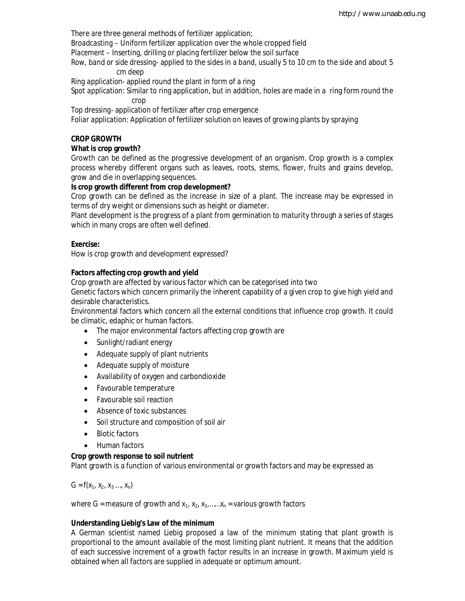There are three general methods of fertilizer application;

*Broadcasting* – Uniform fertilizer application over the whole cropped field

*Placement* – Inserting, drilling or placing fertilizer below the soil surface

*Row, band or side dressing*- applied to the sides in a band, usually 5 to 10 cm to the side and about 5 cm deep

*Ring application*- applied round the plant in form of a ring

*Spot application*: Similar to ring application, but in addition, holes are made in a ring form round the crop

*Top dressing*- application of fertilizer after crop emergence

*Foliar application*: Application of fertilizer solution on leaves of growing plants by spraying

## **CROP GROWTH**

## **What is crop growth?**

Growth can be defined as the progressive development of an organism. Crop growth is a complex process whereby different organs such as leaves, roots, stems, flower, fruits and grains develop, grow and die in overlapping sequences.

## **Is crop growth different from crop development?**

Crop growth can be defined as the increase in size of a plant. The increase may be expressed in terms of dry weight or dimensions such as height or diameter.

Plant development is the progress of a plant from germination to maturity through a series of stages which in many crops are often well defined.

## **Exercise:**

How is crop growth and development expressed?

## **Factors affecting crop growth and yield**

Crop growth are affected by various factor which can be categorised into two

Genetic factors which concern primarily the inherent capability of a given crop to give high yield and desirable characteristics.

Environmental factors which concern all the external conditions that influence crop growth. It could be climatic, edaphic or human factors.

- The major environmental factors affecting crop growth are
- Sunlight/radiant energy
- Adequate supply of plant nutrients
- Adequate supply of moisture
- Availability of oxygen and carbondioxide
- Favourable temperature
- Favourable soil reaction
- Absence of toxic substances
- Soil structure and composition of soil air
- Biotic factors
- Human factors

### **Crop growth response to soil nutrient**

Plant growth is a function of various environmental or growth factors and may be expressed as

 $G = f(x_1, x_2, x_3, ..., x_n)$ 

where G = measure of growth and  $x_1$ ,  $x_2$ ,  $x_3$ , ...... $x_n$  = various growth factors

### **Understanding Liebig's Law of the minimum**

A German scientist named Liebig proposed a *law of the minimum* stating that plant growth is proportional to the amount available of the most limiting plant nutrient. It means that the addition of each successive increment of a growth factor results in an increase in growth. Maximum yield is obtained when all factors are supplied in adequate or optimum amount.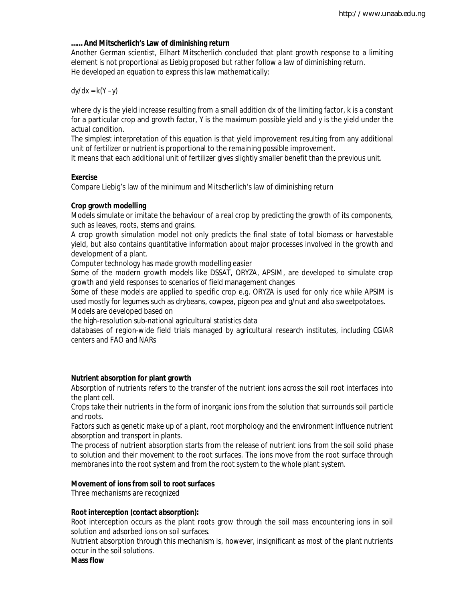## **…… And Mitscherlich's Law of diminishing return**

Another German scientist, Eilhart Mitscherlich concluded that plant growth response to a limiting element is not proportional as Liebig proposed but rather follow a law of diminishing return. He developed an equation to express this law mathematically:

# *dy/dx* = *k*(Y –*y*)

where *dy* is the yield increase resulting from a small addition *dx* of the limiting factor, k is a constant for a particular crop and growth factor, Y is the maximum possible yield and y is the yield under the actual condition.

The simplest interpretation of this equation is that yield improvement resulting from any additional unit of fertilizer or nutrient is proportional to the remaining possible improvement.

It means that each additional unit of fertilizer gives slightly smaller benefit than the previous unit.

# **Exercise**

Compare Liebig's law of the minimum and Mitscherlich's law of diminishing return

# **Crop growth modelling**

Models simulate or imitate the behaviour of a real crop by predicting the growth of its components, such as leaves, roots, stems and grains.

A crop growth simulation model not only predicts the final state of total biomass or harvestable yield, but also contains quantitative information about major processes involved in the growth and development of a plant.

Computer technology has made growth modelling easier

Some of the modern growth models like DSSAT, ORYZA, APSIM, are developed to simulate crop growth and yield responses to scenarios of field management changes

Some of these models are applied to specific crop e.g. ORYZA is used for only rice while APSIM is used mostly for legumes such as drybeans, cowpea, pigeon pea and g/nut and also sweetpotatoes. Models are developed based on

the high-resolution sub-national agricultural statistics data

databases of region-wide field trials managed by agricultural research institutes, including CGIAR centers and FAO and NARs

# **Nutrient absorption for plant growth**

Absorption of nutrients refers to the transfer of the nutrient ions across the soil root interfaces into the plant cell.

Crops take their nutrients in the form of inorganic ions from the solution that surrounds soil particle and roots.

Factors such as genetic make up of a plant, root morphology and the environment influence nutrient absorption and transport in plants.

The process of nutrient absorption starts from the release of nutrient ions from the soil solid phase to solution and their movement to the root surfaces. The ions move from the root surface through membranes into the root system and from the root system to the whole plant system.

# **Movement of ions from soil to root surfaces**

Three mechanisms are recognized

# **Root interception (contact absorption):**

Root interception occurs as the plant roots grow through the soil mass encountering ions in soil solution and adsorbed ions on soil surfaces.

Nutrient absorption through this mechanism is, however, insignificant as most of the plant nutrients occur in the soil solutions.

**Mass flow**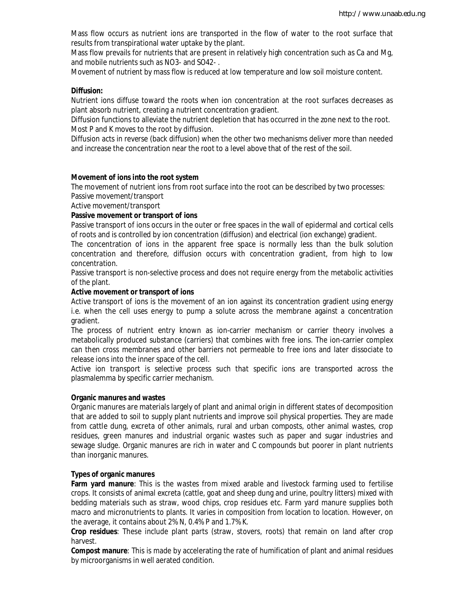Mass flow occurs as nutrient ions are transported in the flow of water to the root surface that results from transpirational water uptake by the plant.

Mass flow prevails for nutrients that are present in relatively high concentration such as Ca and Mg, and mobile nutrients such as NO3- and SO42- .

Movement of nutrient by mass flow is reduced at low temperature and low soil moisture content.

#### **Diffusion:**

Nutrient ions diffuse toward the roots when ion concentration at the root surfaces decreases as plant absorb nutrient, creating a nutrient concentration gradient.

Diffusion functions to alleviate the nutrient depletion that has occurred in the zone next to the root. Most P and K moves to the root by diffusion.

Diffusion acts in reverse (back diffusion) when the other two mechanisms deliver more than needed and increase the concentration near the root to a level above that of the rest of the soil.

#### **Movement of ions into the root system**

The movement of nutrient ions from root surface into the root can be described by two processes: Passive movement/transport

Active movement/transport

#### **Passive movement or transport of ions**

Passive transport of ions occurs in the outer or free spaces in the wall of epidermal and cortical cells of roots and is controlled by ion concentration (diffusion) and electrical (ion exchange) gradient.

The concentration of ions in the apparent free space is normally less than the bulk solution concentration and therefore, diffusion occurs with concentration gradient, from high to low concentration.

Passive transport is non-selective process and does not require energy from the metabolic activities of the plant.

### **Active movement or transport of ions**

Active transport of ions is the movement of an ion against its concentration gradient using energy i.e. when the cell uses energy to pump a solute across the membrane against a concentration gradient.

The process of nutrient entry known as ion-carrier mechanism or carrier theory involves a metabolically produced substance (carriers) that combines with free ions. The ion-carrier complex can then cross membranes and other barriers not permeable to free ions and later dissociate to release ions into the inner space of the cell.

Active ion transport is selective process such that specific ions are transported across the plasmalemma by specific carrier mechanism.

#### **Organic manures and wastes**

Organic manures are materials largely of plant and animal origin in different states of decomposition that are added to soil to supply plant nutrients and improve soil physical properties. They are made from cattle dung, excreta of other animals, rural and urban composts, other animal wastes, crop residues, green manures and industrial organic wastes such as paper and sugar industries and sewage sludge. Organic manures are rich in water and C compounds but poorer in plant nutrients than inorganic manures.

#### **Types of organic manures**

**Farm yard manure**: This is the wastes from mixed arable and livestock farming used to fertilise crops. It consists of animal excreta (cattle, goat and sheep dung and urine, poultry litters) mixed with bedding materials such as straw, wood chips, crop residues etc. Farm yard manure supplies both macro and micronutrients to plants. It varies in composition from location to location. However, on the average, it contains about 2% N, 0.4% P and 1.7% K.

**Crop residues**: These include plant parts (straw, stovers, roots) that remain on land after crop harvest.

**Compost manure**: This is made by accelerating the rate of humification of plant and animal residues by microorganisms in well aerated condition.